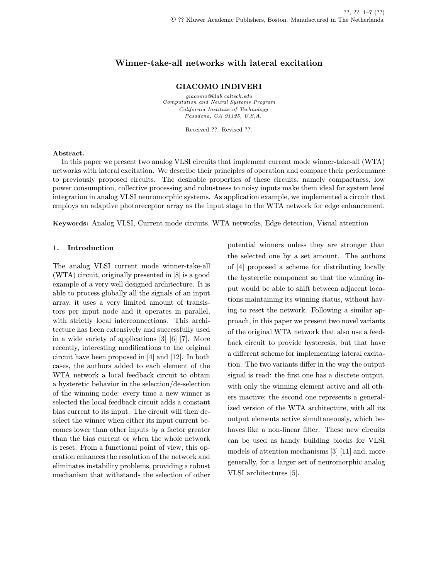# Winner-take-all networks with lateral excitation

### GIACOMO INDIVERI

giacomo@klab.caltech.edu Computation and Neural Systems Program California Institute of Technology Pasadena, CA 91125, U.S.A.

Received ??. Revised ??.

### Abstract.

In this paper we present two analog VLSI circuits that implement current mode winner-take-all (WTA) networks with lateral excitation. We describe their principles of operation and compare their performance to previously proposed circuits. The desirable properties of these circuits, namely compactness, low power consumption, collective processing and robustness to noisy inputs make them ideal for system level integration in analog VLSI neuromorphic systems. As application example, we implemented a circuit that employs an adaptive photoreceptor array as the input stage to the WTA network for edge enhancement.

Keywords: Analog VLSI, Current mode circuits, WTA networks, Edge detection, Visual attention

# 1. Introduction

The analog VLSI current mode winner-take-all (WTA) circuit, originally presented in [8] is a good example of a very well designed architecture. It is able to process globally all the signals of an input array, it uses a very limited amount of transistors per input node and it operates in parallel, with strictly local interconnections. This architecture has been extensively and successfully used in a wide variety of applications [3] [6] [7]. More recently, interesting modifications to the original circuit have been proposed in [4] and [12]. In both cases, the authors added to each element of the WTA network a local feedback circuit to obtain a hysteretic behavior in the selection/de-selection of the winning node: every time a new winner is selected the local feedback circuit adds a constant bias current to its input. The circuit will then deselect the winner when either its input current becomes lower than other inputs by a factor greater than the bias current or when the whole network is reset. From a functional point of view, this operation enhances the resolution of the network and eliminates instability problems, providing a robust mechanism that withstands the selection of other potential winners unless they are stronger than the selected one by a set amount. The authors of [4] proposed a scheme for distributing locally the hysteretic component so that the winning input would be able to shift between adjacent locations maintaining its winning status, without having to reset the network. Following a similar approach, in this paper we present two novel variants of the original WTA network that also use a feedback circuit to provide hysteresis, but that have a different scheme for implementing lateral excitation. The two variants differ in the way the output signal is read: the first one has a discrete output, with only the winning element active and all others inactive; the second one represents a generalized version of the WTA architecture, with all its output elements active simultaneously, which behaves like a non-linear filter. These new circuits can be used as handy building blocks for VLSI models of attention mechanisms [3] [11] and, more generally, for a larger set of neuromorphic analog VLSI architectures [5].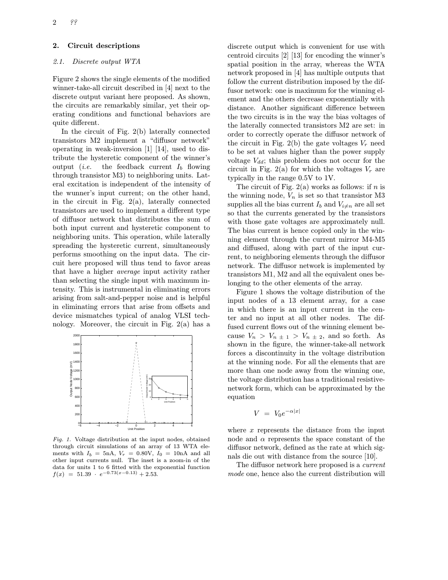### 2. Circuit descriptions

# 2.1. Discrete output WTA

Figure 2 shows the single elements of the modified winner-take-all circuit described in [4] next to the discrete output variant here proposed. As shown, the circuits are remarkably similar, yet their operating conditions and functional behaviors are quite different.

In the circuit of Fig. 2(b) laterally connected transistors M2 implement a "diffusor network" operating in weak-inversion [1] [14], used to distribute the hysteretic component of the winner's output *(i.e.* the feedback current  $I_b$  flowing through transistor M3) to neighboring units. Lateral excitation is independent of the intensity of the wunner's input current; on the other hand, in the circuit in Fig.  $2(a)$ , laterally connected transistors are used to implement a different type of diffusor network that distributes the sum of both input current and hysteretic component to neighboring units. This operation, while laterally spreading the hysteretic current, simultaneously performs smoothing on the input data. The circuit here proposed will thus tend to favor areas that have a higher average input activity rather than selecting the single input with maximum intensity. This is instrumental in eliminating errors arising from salt-and-pepper noise and is helpful in eliminating errors that arise from offsets and device mismatches typical of analog VLSI technology. Moreover, the circuit in Fig. 2(a) has a



Fig. 1. Voltage distribution at the input nodes, obtained through circuit simulations of an array of 13 WTA elements with  $I_b = 5nA$ ,  $V_r = 0.80V$ ,  $I_0 = 10nA$  and all other input currents null. The inset is a zoom-in of the data for units 1 to 6 fitted with the exponential function  $f(x) = 51.39 \cdot e^{-0.73(x-0.13)} + 2.53.$ 

discrete output which is convenient for use with centroid circuits [2] [13] for encoding the winner's spatial position in the array, whereas the WTA network proposed in [4] has multiple outputs that follow the current distribution imposed by the diffusor network: one is maximum for the winning element and the others decrease exponentially with distance. Another significant difference between the two circuits is in the way the bias voltages of the laterally connected transistors M2 are set: in order to correctly operate the diffusor network of the circuit in Fig. 2(b) the gate voltages  $V_r$  need to be set at values higher than the power supply voltage  $V_{dd}$ ; this problem does not occur for the circuit in Fig. 2(a) for which the voltages  $V_r$  are typically in the range 0.5V to 1V.

The circuit of Fig.  $2(a)$  works as follows: if n is the winning node,  $V_n$  is set so that transistor M3 supplies all the bias current  $I_b$  and  $V_{i\neq n}$  are all set so that the currents generated by the transistors with those gate voltages are approximately null. The bias current is hence copied only in the winning element through the current mirror M4-M5 and diffused, along with part of the input current, to neighboring elements through the diffusor network. The diffusor network is implemented by transistors M1, M2 and all the equivalent ones belonging to the other elements of the array.

Figure 1 shows the voltage distribution of the input nodes of a 13 element array, for a case in which there is an input current in the center and no input at all other nodes. The diffused current flows out of the winning element because  $V_n > V_{n \pm 1} > V_{n \pm 2}$ , and so forth. As shown in the figure, the winner-take-all network forces a discontinuity in the voltage distribution at the winning node. For all the elements that are more than one node away from the winning one, the voltage distribution has a traditional resistivenetwork form, which can be approximated by the equation

$$
V = V_0 e^{-\alpha |x|}
$$

where  $x$  represents the distance from the input node and  $\alpha$  represents the space constant of the diffusor network, defined as the rate at which signals die out with distance from the source [10].

The diffusor network here proposed is a current mode one, hence also the current distribution will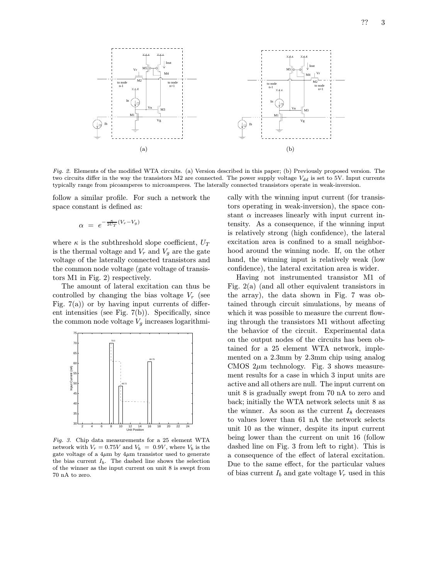

Fig. 2. Elements of the modified WTA circuits. (a) Version described in this paper; (b) Previously proposed version. The two circuits differ in the way the transistors M2 are connected. The power supply voltage  $V_{dd}$  is set to 5V. Input currents typically range from picoamperes to microamperes. The laterally connected transistors operate in weak-inversion.

follow a similar profile. For such a network the space constant is defined as:

$$
\alpha = e^{-\frac{\kappa}{2U_T}(V_r - V_g)}
$$

where  $\kappa$  is the subthreshold slope coefficient,  $U_T$ is the thermal voltage and  $V_r$  and  $V_g$  are the gate voltage of the laterally connected transistors and the common node voltage (gate voltage of transistors M1 in Fig. 2) respectively.

The amount of lateral excitation can thus be controlled by changing the bias voltage  $V_r$  (see Fig.  $7(a)$  or by having input currents of different intensities (see Fig.  $7(b)$ ). Specifically, since the common node voltage  $V_g$  increases logarithmi-



Fig. 3. Chip data measurements for a 25 element WTA network with  $V_r = 0.75V$  and  $V_b = 0.9V$ , where  $V_b$  is the gate voltage of a  $4\mu$ m by  $4\mu$ m transistor used to generate the bias current  $I<sub>b</sub>$ . The dashed line shows the selection of the winner as the input current on unit 8 is swept from 70 nA to zero.

cally with the winning input current (for transistors operating in weak-inversion), the space constant  $\alpha$  increases linearly with input current intensity. As a consequence, if the winning input is relatively strong (high confidence), the lateral excitation area is confined to a small neighborhood around the winning node. If, on the other hand, the winning input is relatively weak (low confidence), the lateral excitation area is wider.

Having not instrumented transistor M1 of Fig. 2(a) (and all other equivalent transistors in the array), the data shown in Fig. 7 was obtained through circuit simulations, by means of which it was possible to measure the current flowing through the transistors M1 without affecting the behavior of the circuit. Experimental data on the output nodes of the circuits has been obtained for a 25 element WTA network, implemented on a 2.3mm by 2.3mm chip using analog CMOS  $2\mu$ m technology. Fig. 3 shows measurement results for a case in which 3 input units are active and all others are null. The input current on unit 8 is gradually swept from 70 nA to zero and back; initially the WTA network selects unit 8 as the winner. As soon as the current  $I_8$  decreases to values lower than 61 nA the network selects unit 10 as the winner, despite its input current being lower than the current on unit 16 (follow dashed line on Fig. 3 from left to right). This is a consequence of the effect of lateral excitation. Due to the same effect, for the particular values of bias current  $I_b$  and gate voltage  $V_r$  used in this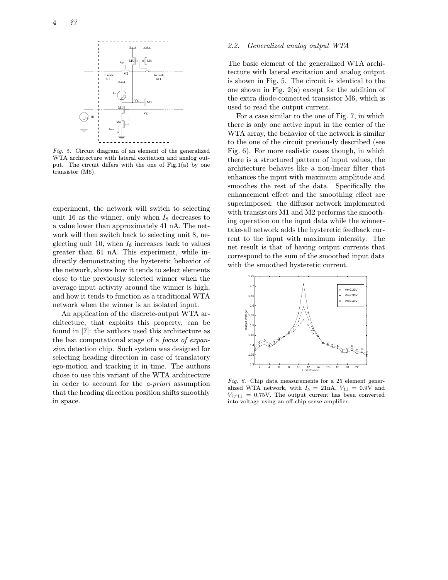

Fig. 5. Circuit diagram of an element of the generalized WTA architecture with lateral excitation and analog output. The circuit differs with the one of Fig.1(a) by one transistor (M6).

experiment, the network will switch to selecting unit 16 as the winner, only when  $I_8$  decreases to a value lower than approximately 41 nA. The network will then switch back to selecting unit 8, neglecting unit 10, when  $I_8$  increases back to values greater than 61 nA. This experiment, while indirectly demonstrating the hysteretic behavior of the network, shows how it tends to select elements close to the previously selected winner when the average input activity around the winner is high, and how it tends to function as a traditional WTA network when the winner is an isolated input.

An application of the discrete-output WTA architecture, that exploits this property, can be found in [7]: the authors used this architecture as the last computational stage of a focus of expansion detection chip. Such system was designed for selecting heading direction in case of translatory ego-motion and tracking it in time. The authors chose to use this variant of the WTA architecture in order to account for the a-priori assumption that the heading direction position shifts smoothly in space.

#### 2.2. Generalized analog output WTA

The basic element of the generalized WTA architecture with lateral excitation and analog output is shown in Fig. 5. The circuit is identical to the one shown in Fig. 2(a) except for the addition of the extra diode-connected transistor M6, which is used to read the output current.

For a case similar to the one of Fig. 7, in which there is only one active input in the center of the WTA array, the behavior of the network is similar to the one of the circuit previously described (see Fig. 6). For more realistic cases though, in which there is a structured pattern of input values, the architecture behaves like a non-linear filter that enhances the input with maximum amplitude and smoothes the rest of the data. Specifically the enhancement effect and the smoothing effect are superimposed: the diffusor network implemented with transistors M1 and M2 performs the smoothing operation on the input data while the winnertake-all network adds the hysteretic feedback current to the input with maximum intensity. The net result is that of having output currents that correspond to the sum of the smoothed input data with the smoothed hysteretic current.



Fig. 6. Chip data measurements for a 25 element generalized WTA network, with  $I_b = 21 \text{nA}$ ,  $V_{11} = 0.9 \text{V}$  and  $V_{i\neq 11} = 0.75V$ . The output current has been converted into voltage using an off-chip sense amplifier.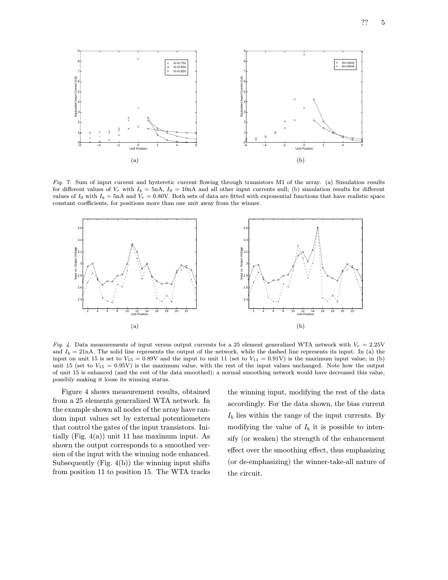

Fig. 7. Sum of input current and hysteretic current flowing through transistors M1 of the array. (a) Simulation results for different values of  $V_r$  with  $I_b = 5nA$ ,  $I_0 = 10nA$  and all other input currents null; (b) simulation results for different values of  $I_0$  with  $I_b = 5$ nA and  $V_r = 0.80$ V. Both sets of data are fitted with exponential functions that have realistic space constant coefficients, for positions more than one unit away from the winner.



Fig. 4. Data measurements of input versus output currents for a 25 element generalized WTA network with  $V_r = 2.25V$ and  $I_b = 21nA$ . The solid line represents the output of the network, while the dashed line represents its input. In (a) the input on unit 15 is set to  $V_{15} = 0.89V$  and the input to unit 11 (set to  $V_{11} = 0.91V$ ) is the maximum input value; in (b) unit 15 (set to  $V_{15} = 0.95V$ ) is the maximum value, with the rest of the input values unchanged. Note how the output of unit 15 is enhanced (and the rest of the data smoothed); a normal smoothing network would have decreased this value, possibly making it loose its winning status.

Figure 4 shows measurement results, obtained from a 25 elements generalized WTA network. In the example shown all nodes of the array have random input values set by external potentiometers that control the gates of the input transistors. Initially (Fig.  $4(a)$ ) unit 11 has maximum input. As shown the output corresponds to a smoothed version of the input with the winning node enhanced. Subsequently (Fig. 4(b)) the winning input shifts from position 11 to position 15. The WTA tracks

the winning input, modifying the rest of the data accordingly. For the data shown, the bias current  $I<sub>b</sub>$  lies within the range of the input currents. By modifying the value of  $I<sub>b</sub>$  it is possible to intensify (or weaken) the strength of the enhancement effect over the smoothing effect, thus emphasizing (or de-emphasizing) the winner-take-all nature of the circuit.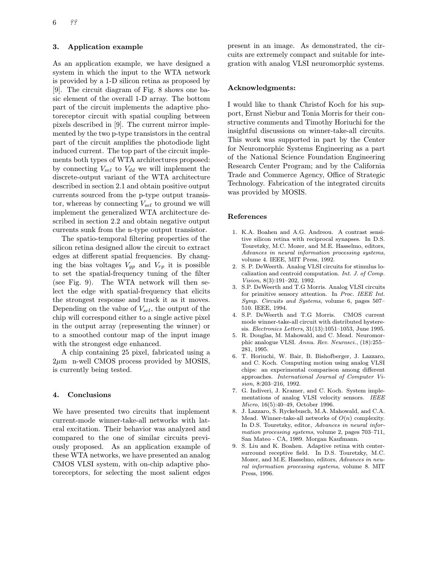# 3. Application example

As an application example, we have designed a system in which the input to the WTA network is provided by a 1-D silicon retina as proposed by [9]. The circuit diagram of Fig. 8 shows one basic element of the overall 1-D array. The bottom part of the circuit implements the adaptive photoreceptor circuit with spatial coupling between pixels described in [9]. The current mirror implemented by the two p-type transistors in the central part of the circuit amplifies the photodiode light induced current. The top part of the circuit implements both types of WTA architectures proposed: by connecting  $V_{sel}$  to  $V_{dd}$  we will implement the discrete-output variant of the WTA architecture described in section 2.1 and obtain positive output currents sourced from the p-type output transistor, whereas by connecting  $V_{sel}$  to ground we will implement the generalized WTA architecture described in section 2.2 and obtain negative output currents sunk from the n-type output transistor.

The spatio-temporal filtering properties of the silicon retina designed allow the circuit to extract edges at different spatial frequencies. By changing the bias voltages  $V_{gp}$  and  $V_{rp}$  it is possible to set the spatial-frequency tuning of the filter (see Fig. 9). The WTA network will then select the edge with spatial-frequency that elicits the strongest response and track it as it moves. Depending on the value of  $V_{sel}$ , the output of the chip will correspond either to a single active pixel in the output array (representing the winner) or to a smoothed contour map of the input image with the strongest edge enhanced.

A chip containing 25 pixel, fabricated using a  $2\mu$ m n-well CMOS process provided by MOSIS, is currently being tested.

### 4. Conclusions

We have presented two circuits that implement current-mode winner-take-all networks with lateral excitation. Their behavior was analyzed and compared to the one of similar circuits previously proposed. As an application example of these WTA networks, we have presented an analog CMOS VLSI system, with on-chip adaptive photoreceptors, for selecting the most salient edges present in an image. As demonstrated, the circuits are extremely compact and suitable for integration with analog VLSI neuromorphic systems.

### Acknowledgments:

I would like to thank Christof Koch for his support, Ernst Niebur and Tonia Morris for their constructive comments and Timothy Horiuchi for the insightful discussions on winner-take-all circuits. This work was supported in part by the Center for Neuromorphic Systems Engineering as a part of the National Science Foundation Engineering Research Center Program; and by the California Trade and Commerce Agency, Office of Strategic Technology. Fabrication of the integrated circuits was provided by MOSIS.

### References

- 1. K.A. Boahen and A.G. Andreou. A contrast sensitive silicon retina with reciprocal synapses. In D.S. Touretzky, M.C. Mozer, and M.E. Hasselmo, editors, Advances in neural information processing systems, volume 4. IEEE, MIT Press, 1992.
- 2. S. P. DeWeerth. Analog VLSI circuits for stimulus localization and centroid computation. Int. J. of Comp. Vision, 8(3):191–202, 1992.
- 3. S.P. DeWeerth and T.G Morris. Analog VLSI circuits for primitive sensory attention. In Proc. IEEE Int. Symp. Circuits and Systems, volume 6, pages 507– 510. IEEE, 1994.
- 4. S.P. DeWeerth and T.G Morris. CMOS current mode winner-take-all circuit with distributed hysteresis. Electronics Letters, 31(13):1051–1053, June 1995.
- 5. R. Douglas, M. Mahowald, and C. Mead. Neuromorphic analogue VLSI. Annu. Rev. Neurosci., (18):255– 281, 1995.
- 6. T. Horiuchi, W. Bair, B. Bishofberger, J. Lazzaro, and C. Koch. Computing motion using analog VLSI chips: an experimental comparison among different approaches. International Journal of Computer Vision, 8:203–216, 1992.
- 7. G. Indiveri, J. Kramer, and C. Koch. System implementations of analog VLSI velocity sensors. IEEE Micro, 16(5):40–49, October 1996.
- 8. J. Lazzaro, S. Ryckebusch, M.A. Mahowald, and C.A. Mead. Winner-take-all networks of  $O(n)$  complexity. In D.S. Touretzky, editor, Advances in neural information processing systems, volume 2, pages 703–711, San Mateo - CA, 1989. Morgan Kaufmann.
- 9. S. Liu and K. Boahen. Adaptive retina with centersurround receptive field. In D.S. Touretzky, M.C. Mozer, and M.E. Hasselmo, editors, Advances in neural information processing systems, volume 8. MIT Press, 1996.